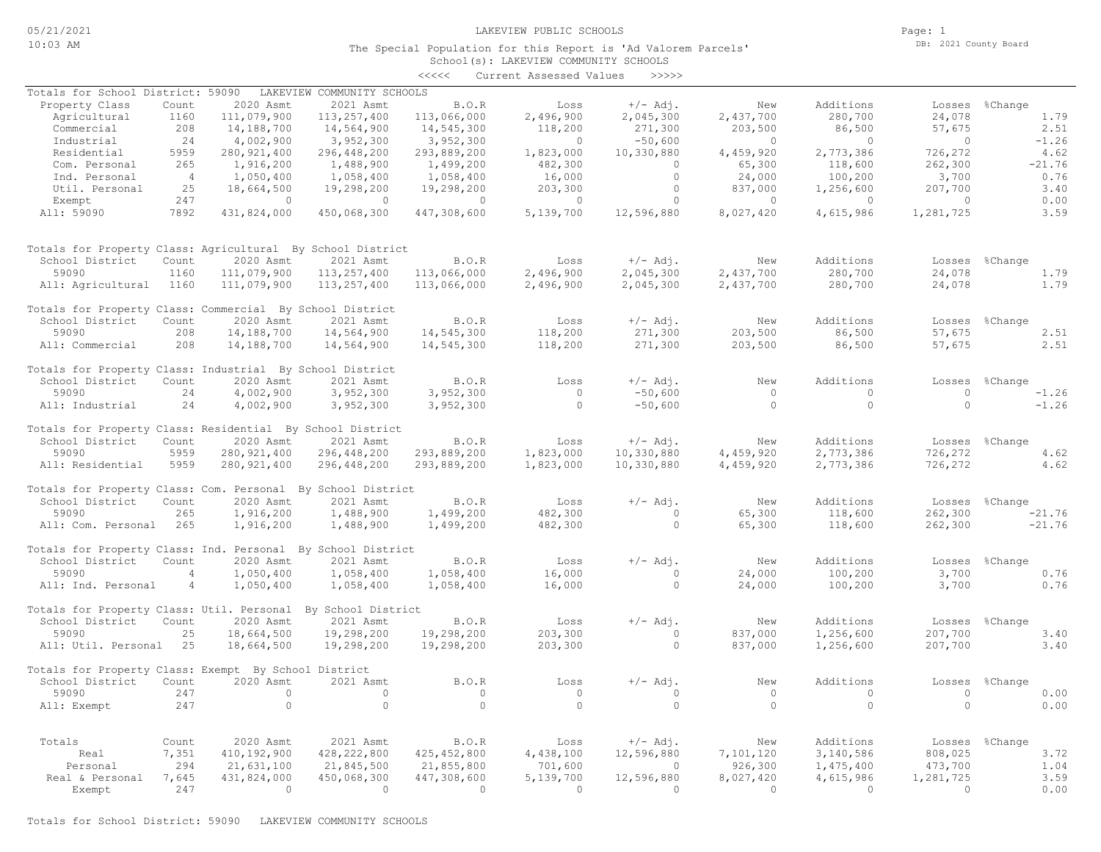Page: 1 DB: 2021 County Board

### School(s): LAKEVIEW COMMUNITY SCHOOLS The Special Population for this Report is 'Ad Valorem Parcels'

|                                                             |                |               |                            | <<<<          | Current Assessed Values | >>>>>      |              |           |           |                |
|-------------------------------------------------------------|----------------|---------------|----------------------------|---------------|-------------------------|------------|--------------|-----------|-----------|----------------|
| Totals for School District: 59090                           |                |               | LAKEVIEW COMMUNITY SCHOOLS |               |                         |            |              |           |           |                |
| Property Class                                              | Count          | 2020 Asmt     | 2021 Asmt                  | B.O.R         | Loss                    | $+/-$ Adj. | New          | Additions | Losses    | %Change        |
| Agricultural                                                | 1160           | 111,079,900   | 113,257,400                | 113,066,000   | 2,496,900               | 2,045,300  | 2,437,700    | 280,700   | 24,078    | 1.79           |
| Commercial                                                  | 208            | 14,188,700    | 14,564,900                 | 14,545,300    | 118,200                 | 271,300    | 203,500      | 86,500    | 57,675    | 2.51           |
| Industrial                                                  | 24             | 4,002,900     | 3,952,300                  | 3,952,300     | $\mathbf{0}$            | $-50,600$  | $\circ$      | $\circ$   | $\circ$   | $-1.26$        |
| Residential                                                 | 5959           | 280, 921, 400 | 296,448,200                | 293,889,200   | 1,823,000               | 10,330,880 | 4,459,920    | 2,773,386 | 726,272   | 4.62           |
| Com. Personal                                               | 265            | 1,916,200     | 1,488,900                  | 1,499,200     | 482,300                 | $\circ$    | 65,300       | 118,600   | 262,300   | $-21.76$       |
| Ind. Personal                                               | $\overline{4}$ | 1,050,400     | 1,058,400                  | 1,058,400     | 16,000                  | $\circ$    | 24,000       | 100,200   | 3,700     | 0.76           |
| Util. Personal                                              | 25             | 18,664,500    | 19,298,200                 | 19,298,200    | 203,300                 | $\circ$    | 837,000      | 1,256,600 | 207,700   | 3.40           |
| Exempt                                                      | 247            | $\Omega$      | $\Omega$                   | $\circ$       | $\mathbf{0}$            | $\circ$    | $\Omega$     | $\circ$   | $\Omega$  | 0.00           |
| All: 59090                                                  | 7892           | 431,824,000   | 450,068,300                | 447,308,600   | 5,139,700               | 12,596,880 | 8,027,420    | 4,615,986 | 1,281,725 | 3.59           |
| Totals for Property Class: Agricultural By School District  |                |               |                            |               |                         |            |              |           |           |                |
| School District                                             | Count          | 2020 Asmt     | 2021 Asmt                  | B.O.R         | Loss                    | $+/-$ Adj. | New          | Additions | Losses    | %Change        |
| 59090                                                       | 1160           | 111,079,900   | 113, 257, 400              | 113,066,000   | 2,496,900               | 2,045,300  | 2,437,700    | 280,700   | 24,078    | 1.79           |
| All: Agricultural                                           | 1160           | 111,079,900   | 113,257,400                | 113,066,000   | 2,496,900               | 2,045,300  | 2,437,700    | 280,700   | 24,078    | 1.79           |
|                                                             |                |               |                            |               |                         |            |              |           |           |                |
| Totals for Property Class: Commercial By School District    |                |               |                            |               |                         |            |              |           |           |                |
| School District                                             | Count          | 2020 Asmt     | 2021 Asmt                  | B.O.R         | Loss                    | $+/-$ Adj. | New          | Additions | Losses    | %Change        |
| 59090                                                       | 208            | 14,188,700    | 14,564,900                 | 14,545,300    | 118,200                 | 271,300    | 203,500      | 86,500    | 57,675    | 2.51           |
| All: Commercial                                             | 208            | 14,188,700    | 14,564,900                 | 14,545,300    | 118,200                 | 271,300    | 203,500      | 86,500    | 57,675    | 2.51           |
| Totals for Property Class: Industrial By School District    |                |               |                            |               |                         |            |              |           |           |                |
| School District                                             | Count          | 2020 Asmt     | 2021 Asmt                  | B.O.R         | Loss                    | $+/-$ Adj. | New          | Additions | Losses    | %Change        |
| 59090                                                       | 24             | 4,002,900     | 3,952,300                  | 3,952,300     | $\circ$                 | $-50,600$  | $\circ$      | $\circ$   | $\circ$   | $-1.26$        |
| All: Industrial                                             | 24             | 4,002,900     | 3,952,300                  | 3,952,300     | $\circ$                 | $-50,600$  | $\circ$      | $\circ$   | $\Omega$  | $-1.26$        |
| Totals for Property Class: Residential By School District   |                |               |                            |               |                         |            |              |           |           |                |
| School District                                             | Count          | 2020 Asmt     | 2021 Asmt                  | B.O.R         | Loss                    | $+/-$ Adj. | New          | Additions |           | Losses %Change |
| 59090                                                       | 5959           | 280, 921, 400 | 296,448,200                | 293,889,200   | 1,823,000               | 10,330,880 | 4,459,920    | 2,773,386 | 726,272   | 4.62           |
| All: Residential                                            | 5959           | 280, 921, 400 | 296,448,200                | 293,889,200   | 1,823,000               | 10,330,880 | 4,459,920    | 2,773,386 | 726,272   | 4.62           |
| Totals for Property Class: Com. Personal By School District |                |               |                            |               |                         |            |              |           |           |                |
| School District                                             | Count          | 2020 Asmt     | 2021 Asmt                  | B.O.R         | Loss                    | $+/-$ Adj. | New          | Additions | Losses    | %Change        |
| 59090                                                       | 265            | 1,916,200     | 1,488,900                  | 1,499,200     | 482,300                 | $\circ$    | 65,300       | 118,600   | 262,300   | $-21.76$       |
| All: Com. Personal                                          | 265            | 1,916,200     | 1,488,900                  | 1,499,200     | 482,300                 | $\circ$    | 65,300       | 118,600   | 262,300   | $-21.76$       |
|                                                             |                |               |                            |               |                         |            |              |           |           |                |
| Totals for Property Class: Ind. Personal By School District |                |               |                            |               |                         |            |              |           |           |                |
| School District                                             | Count          | 2020 Asmt     | 2021 Asmt                  | B.O.R         | Loss                    | $+/-$ Adj. | New          | Additions | Losses    | %Change        |
| 59090                                                       | $\overline{4}$ | 1,050,400     | 1,058,400                  | 1,058,400     | 16,000                  | $\circ$    | 24,000       | 100,200   | 3,700     | 0.76           |
| All: Ind. Personal                                          | $\overline{4}$ | 1,050,400     | 1,058,400                  | 1,058,400     | 16,000                  | $\circ$    | 24,000       | 100,200   | 3,700     | 0.76           |
| Totals for Property Class: Util. Personal                   |                |               | By School District         |               |                         |            |              |           |           |                |
| School District                                             | Count          | 2020 Asmt     | 2021 Asmt                  | B.O.R         | Loss                    | $+/-$ Adj. | New          | Additions | Losses    | %Change        |
| 59090                                                       | 25             | 18,664,500    | 19,298,200                 | 19,298,200    | 203,300                 | $\circ$    | 837,000      | 1,256,600 | 207,700   | 3.40           |
| All: Util. Personal                                         | 25             | 18,664,500    | 19,298,200                 | 19,298,200    | 203,300                 | $\circ$    | 837,000      | 1,256,600 | 207,700   | 3.40           |
| Totals for Property Class: Exempt By School District        |                |               |                            |               |                         |            |              |           |           |                |
| School District                                             | Count          | 2020 Asmt     | 2021 Asmt                  | B.O.R         | Loss                    | $+/-$ Adj. | New          | Additions | Losses    | %Change        |
| 59090                                                       | 247            | $\circ$       | $\circ$                    | $\circ$       | $\circ$                 | $\circ$    | $\circ$      | $\circ$   | $\circ$   | 0.00           |
| All: Exempt                                                 | 247            | $\Omega$      | $\Omega$                   | $\Omega$      | $\Omega$                | $\Omega$   | $\Omega$     | $\Omega$  | $\Omega$  | 0.00           |
|                                                             |                |               |                            |               |                         |            |              |           |           |                |
| Totals                                                      | Count          | 2020 Asmt     | 2021 Asmt                  | B.O.R         | Loss                    | $+/-$ Adj. | New          | Additions |           | Losses %Change |
| Real                                                        | 7,351          | 410,192,900   | 428, 222, 800              | 425, 452, 800 | 4,438,100               | 12,596,880 | 7,101,120    | 3,140,586 | 808,025   | 3.72           |
| Personal                                                    | 294            | 21,631,100    | 21,845,500                 | 21,855,800    | 701,600                 | $\Omega$   | 926,300      | 1,475,400 | 473,700   | 1.04           |
| Real & Personal                                             | 7,645          | 431,824,000   | 450,068,300                | 447,308,600   | 5,139,700               | 12,596,880 | 8,027,420    | 4,615,986 | 1,281,725 | 3.59           |
| Exempt                                                      | 247            | $\circ$       | $\circ$                    | $\circ$       | $\mathbf{0}$            | $\circ$    | $\mathbf{0}$ | $\circ$   | $\circ$   | 0.00           |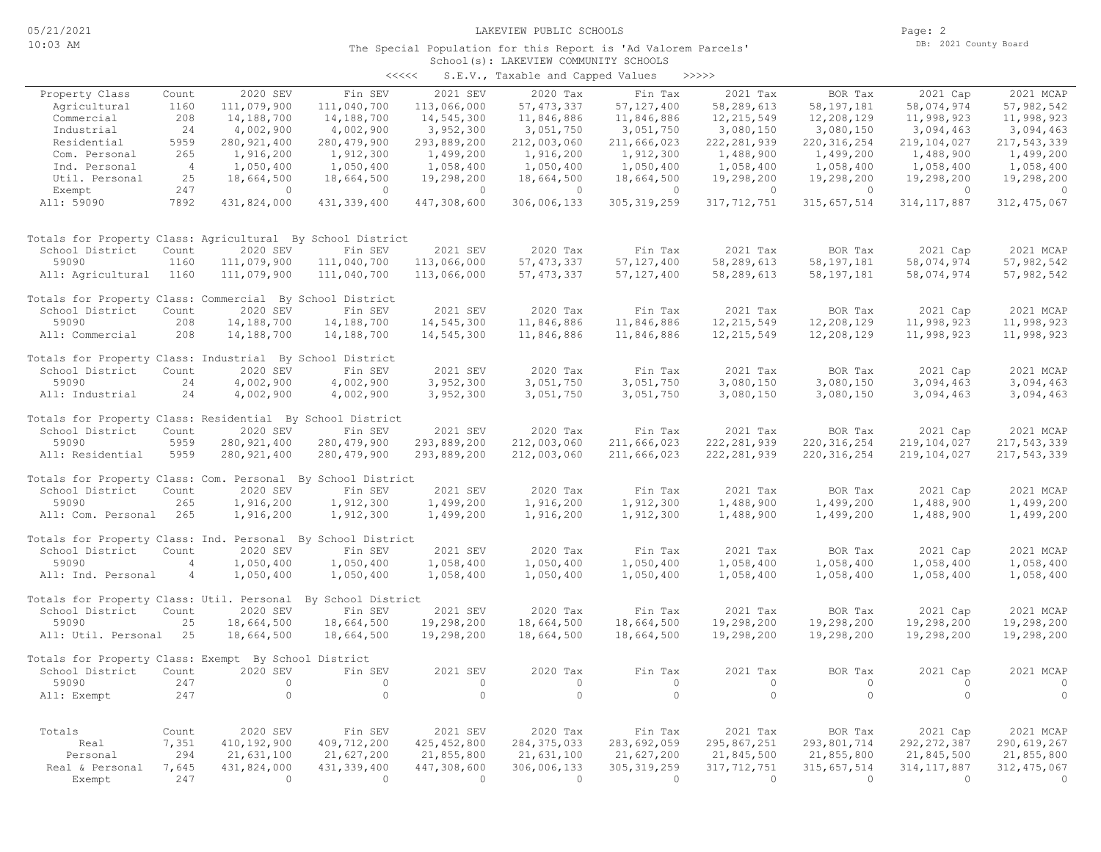Page: 2 DB: 2021 County Board

### School(s): LAKEVIEW COMMUNITY SCHOOLS The Special Population for this Report is 'Ad Valorem Parcels'

|                                                             |                |               |                    | $\prec\prec\prec\prec\prec$ | S.E.V., Taxable and Capped Values |                | >>>>>         |                |               |                |
|-------------------------------------------------------------|----------------|---------------|--------------------|-----------------------------|-----------------------------------|----------------|---------------|----------------|---------------|----------------|
| Property Class                                              | Count          | 2020 SEV      | Fin SEV            | 2021 SEV                    | 2020 Tax                          | Fin Tax        | 2021 Tax      | BOR Tax        | 2021 Cap      | 2021 MCAP      |
| Agricultural                                                | 1160           | 111,079,900   | 111,040,700        | 113,066,000                 | 57, 473, 337                      | 57, 127, 400   | 58,289,613    | 58, 197, 181   | 58,074,974    | 57,982,542     |
| Commercial                                                  | 208            | 14,188,700    | 14,188,700         | 14,545,300                  | 11,846,886                        | 11,846,886     | 12, 215, 549  | 12,208,129     | 11,998,923    | 11,998,923     |
| Industrial                                                  | 24             | 4,002,900     | 4,002,900          | 3,952,300                   | 3,051,750                         | 3,051,750      | 3,080,150     | 3,080,150      | 3,094,463     | 3,094,463      |
| Residential                                                 | 5959           | 280, 921, 400 | 280, 479, 900      | 293,889,200                 | 212,003,060                       | 211,666,023    | 222, 281, 939 | 220, 316, 254  | 219,104,027   | 217,543,339    |
| Com. Personal                                               | 265            | 1,916,200     | 1,912,300          | 1,499,200                   | 1,916,200                         | 1,912,300      | 1,488,900     | 1,499,200      | 1,488,900     | 1,499,200      |
| Ind. Personal                                               | $\overline{4}$ | 1,050,400     | 1,050,400          | 1,058,400                   | 1,050,400                         | 1,050,400      | 1,058,400     | 1,058,400      | 1,058,400     | 1,058,400      |
| Util. Personal                                              | 25             | 18,664,500    | 18,664,500         | 19,298,200                  | 18,664,500                        | 18,664,500     | 19,298,200    | 19,298,200     | 19,298,200    | 19,298,200     |
| Exempt                                                      | 247            | $\Omega$      | $\Omega$           | $\circ$                     | $\circ$                           | $\overline{0}$ | $\circ$       | $\overline{0}$ | $\circ$       | $\overline{0}$ |
| All: 59090                                                  | 7892           | 431,824,000   | 431, 339, 400      | 447,308,600                 | 306,006,133                       | 305, 319, 259  | 317, 712, 751 | 315, 657, 514  | 314, 117, 887 | 312, 475, 067  |
|                                                             |                |               |                    |                             |                                   |                |               |                |               |                |
| Totals for Property Class: Agricultural By School District  |                |               |                    |                             |                                   |                |               |                |               |                |
| School District                                             | Count          | 2020 SEV      | Fin SEV            | 2021 SEV                    | 2020 Tax                          | Fin Tax        | 2021 Tax      | BOR Tax        | 2021 Cap      | 2021 MCAP      |
| 59090                                                       | 1160           | 111,079,900   | 111,040,700        | 113,066,000                 | 57, 473, 337                      | 57, 127, 400   | 58,289,613    | 58, 197, 181   | 58,074,974    | 57,982,542     |
| All: Agricultural                                           | 1160           | 111,079,900   | 111,040,700        | 113,066,000                 | 57, 473, 337                      | 57, 127, 400   | 58,289,613    | 58, 197, 181   | 58,074,974    | 57,982,542     |
| Totals for Property Class: Commercial By School District    |                |               |                    |                             |                                   |                |               |                |               |                |
| School District                                             | Count          | 2020 SEV      | Fin SEV            | 2021 SEV                    | 2020 Tax                          | Fin Tax        | 2021 Tax      | BOR Tax        | 2021 Cap      | 2021 MCAP      |
| 59090                                                       | 208            | 14,188,700    | 14,188,700         | 14,545,300                  | 11,846,886                        | 11,846,886     | 12, 215, 549  | 12,208,129     | 11,998,923    | 11,998,923     |
| All: Commercial                                             | 208            | 14,188,700    | 14,188,700         | 14,545,300                  | 11,846,886                        | 11,846,886     | 12, 215, 549  | 12,208,129     | 11,998,923    | 11,998,923     |
| Totals for Property Class: Industrial By School District    |                |               |                    |                             |                                   |                |               |                |               |                |
| School District                                             | Count          | 2020 SEV      | Fin SEV            | 2021 SEV                    | 2020 Tax                          | Fin Tax        | 2021 Tax      | BOR Tax        | 2021 Cap      | 2021 MCAP      |
| 59090                                                       | 24             | 4,002,900     | 4,002,900          | 3,952,300                   | 3,051,750                         | 3,051,750      | 3,080,150     | 3,080,150      | 3,094,463     | 3,094,463      |
| All: Industrial                                             | 24             | 4,002,900     | 4,002,900          | 3,952,300                   | 3,051,750                         | 3,051,750      | 3,080,150     | 3,080,150      | 3,094,463     | 3,094,463      |
| Totals for Property Class: Residential By School District   |                |               |                    |                             |                                   |                |               |                |               |                |
| School District                                             | Count          | 2020 SEV      | Fin SEV            | 2021 SEV                    | 2020 Tax                          | Fin Tax        | 2021 Tax      | BOR Tax        | 2021 Cap      | 2021 MCAP      |
| 59090                                                       | 5959           | 280, 921, 400 | 280, 479, 900      | 293,889,200                 | 212,003,060                       | 211,666,023    | 222, 281, 939 | 220, 316, 254  | 219,104,027   | 217,543,339    |
| All: Residential                                            | 5959           | 280, 921, 400 | 280, 479, 900      | 293,889,200                 | 212,003,060                       | 211,666,023    | 222, 281, 939 | 220, 316, 254  | 219,104,027   | 217,543,339    |
| Totals for Property Class: Com. Personal By School District |                |               |                    |                             |                                   |                |               |                |               |                |
| School District                                             | Count          | 2020 SEV      | Fin SEV            | 2021 SEV                    | 2020 Tax                          | Fin Tax        | 2021 Tax      | BOR Tax        | 2021 Cap      | 2021 MCAP      |
| 59090                                                       | 265            | 1,916,200     | 1,912,300          | 1,499,200                   | 1,916,200                         | 1,912,300      | 1,488,900     | 1,499,200      | 1,488,900     | 1,499,200      |
| All: Com. Personal                                          | 265            | 1,916,200     | 1,912,300          | 1,499,200                   | 1,916,200                         | 1,912,300      | 1,488,900     | 1,499,200      | 1,488,900     | 1,499,200      |
| Totals for Property Class: Ind. Personal By School District |                |               |                    |                             |                                   |                |               |                |               |                |
| School District                                             | Count          | 2020 SEV      | Fin SEV            | 2021 SEV                    | 2020 Tax                          | Fin Tax        | 2021 Tax      | BOR Tax        | 2021 Cap      | 2021 MCAP      |
| 59090                                                       | $\overline{4}$ | 1,050,400     | 1,050,400          | 1,058,400                   | 1,050,400                         | 1,050,400      | 1,058,400     | 1,058,400      | 1,058,400     | 1,058,400      |
| All: Ind. Personal                                          | $\overline{4}$ | 1,050,400     | 1,050,400          | 1,058,400                   | 1,050,400                         | 1,050,400      | 1,058,400     | 1,058,400      | 1,058,400     | 1,058,400      |
| Totals for Property Class: Util. Personal                   |                |               | By School District |                             |                                   |                |               |                |               |                |
| School District                                             | Count          | 2020 SEV      | Fin SEV            | 2021 SEV                    | 2020 Tax                          | Fin Tax        | 2021 Tax      | BOR Tax        | 2021 Cap      | 2021 MCAP      |
| 59090                                                       | 25             | 18,664,500    | 18,664,500         | 19,298,200                  | 18,664,500                        | 18,664,500     | 19,298,200    | 19,298,200     | 19,298,200    | 19,298,200     |
| All: Util. Personal 25                                      |                | 18,664,500    | 18,664,500         | 19,298,200                  | 18,664,500                        | 18,664,500     | 19,298,200    | 19,298,200     | 19,298,200    | 19,298,200     |
| Totals for Property Class: Exempt By School District        |                |               |                    |                             |                                   |                |               |                |               |                |
| School District                                             | Count          | 2020 SEV      | Fin SEV            | 2021 SEV                    | 2020 Tax                          | Fin Tax        | 2021 Tax      | BOR Tax        | 2021 Cap      | 2021 MCAP      |
|                                                             |                |               |                    |                             |                                   |                |               |                |               |                |
| 59090                                                       | 247            | $\circ$       | $\circ$            | $\circ$                     | $\circ$                           | $\circ$        | $\circ$       | $\circ$        | $\circ$       | $\circ$        |
| All: Exempt                                                 | 247            | $\circ$       | $\circ$            | $\circ$                     | $\circ$                           | $\circ$        | $\circ$       | $\circ$        | $\circ$       | $\circ$        |
| Totals                                                      | Count          | 2020 SEV      | Fin SEV            | 2021 SEV                    | 2020 Tax                          | Fin Tax        | 2021 Tax      | BOR Tax        | 2021 Cap      | 2021 MCAP      |
|                                                             | 7,351          | 410,192,900   | 409,712,200        | 425, 452, 800               | 284, 375, 033                     | 283,692,059    | 295,867,251   | 293,801,714    | 292, 272, 387 | 290,619,267    |
| Real                                                        |                |               |                    |                             |                                   |                |               |                |               |                |
| Personal                                                    | 294            | 21,631,100    | 21,627,200         | 21,855,800                  | 21,631,100                        | 21,627,200     | 21,845,500    | 21,855,800     | 21,845,500    | 21,855,800     |
| Real & Personal                                             | 7,645          | 431,824,000   | 431, 339, 400      | 447,308,600                 | 306,006,133                       | 305, 319, 259  | 317, 712, 751 | 315, 657, 514  | 314, 117, 887 | 312, 475, 067  |
| Exempt                                                      | 247            | $\Omega$      | $\overline{0}$     | $\overline{0}$              | $\bigcirc$                        | $\Omega$       | $\Omega$      | $\overline{0}$ | $\Omega$      | $\Omega$       |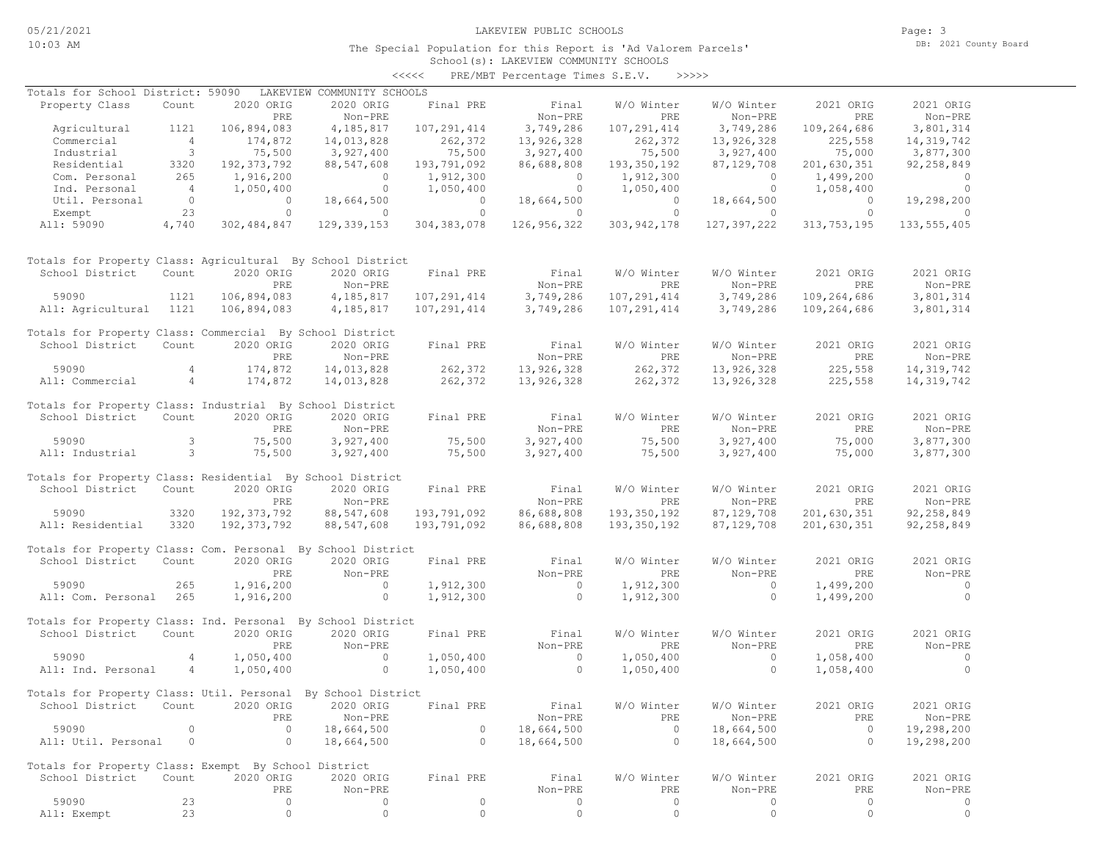The Special Population for this Report is 'Ad Valorem Parcels'

Page: 3 DB: 2021 County Board

# School(s): LAKEVIEW COMMUNITY SCHOOLS <<<<< PRE/MBT Percentage Times S.E.V. >>>>>

| Totals for School District: 59090                            |                          |                | LAKEVIEW COMMUNITY SCHOOLS        |                |                |                |                    |                |                |
|--------------------------------------------------------------|--------------------------|----------------|-----------------------------------|----------------|----------------|----------------|--------------------|----------------|----------------|
| Property Class                                               | Count                    | 2020 ORIG      | 2020 ORIG                         | Final PRE      | Final          | W/O Winter     | W/O Winter         | 2021 ORIG      | 2021 ORIG      |
|                                                              |                          | PRE            | Non-PRE                           |                | Non-PRE        | <b>PRE</b>     | $\texttt{Non-PRE}$ | PRE            | Non-PRE        |
| Agricultural                                                 | 1121                     | 106,894,083    | 4,185,817                         | 107,291,414    | 3,749,286      | 107,291,414    | 3,749,286          | 109,264,686    | 3,801,314      |
| Commercial                                                   | $4\overline{4}$          | 174,872        | 14,013,828                        | 262,372        | 13,926,328     | 262,372        | 13,926,328         | 225,558        | 14, 319, 742   |
| Industrial                                                   | $\overline{\phantom{a}}$ | 75,500         | 3,927,400                         | 75,500         | 3,927,400      | 75,500         | 3,927,400          | 75,000         | 3,877,300      |
| Residential                                                  | 3320                     | 192, 373, 792  | 88,547,608                        | 193,791,092    | 86,688,808     | 193,350,192    | 87,129,708         | 201,630,351    | 92, 258, 849   |
| Com. Personal                                                | 265                      | 1,916,200      | $\overline{0}$                    | 1,912,300      | $\overline{0}$ | 1,912,300      | $\sim$ 0           | 1,499,200      | $\overline{0}$ |
| Ind. Personal                                                | $\sim$ 4                 | 1,050,400      | $\overline{0}$                    | 1,050,400      | $\overline{0}$ | 1,050,400      | $\overline{0}$     | 1,058,400      | $\overline{0}$ |
| Util. Personal                                               | $\overline{0}$           | $\overline{0}$ | 18,664,500                        | $\overline{0}$ | 18,664,500     | $\overline{0}$ | 18,664,500         | $\overline{0}$ | 19,298,200     |
| Exempt                                                       | 23                       | $\circ$        | $\sim$ 0                          | $\circ$        | $\sim$ 0       | $\circ$        | $\overline{0}$     | $\overline{0}$ | $\circ$        |
| All: 59090                                                   | 4,740                    | 302, 484, 847  | 129, 339, 153                     | 304, 383, 078  | 126,956,322    | 303, 942, 178  | 127,397,222        | 313, 753, 195  | 133, 555, 405  |
|                                                              |                          |                |                                   |                |                |                |                    |                |                |
| Totals for Property Class: Agricultural By School District   |                          |                |                                   |                |                |                |                    |                |                |
| School District                                              | Count                    | 2020 ORIG      | 2020 ORIG                         | Final PRE      | Final          | W/O Winter     | W/O Winter         | 2021 ORIG      | 2021 ORIG      |
|                                                              |                          | PRE            | Non-PRE                           |                | Non-PRE        | PRE            | Non-PRE            | PRE            | Non-PRE        |
| 59090                                                        | 1121                     | 106,894,083    | 4,185,817                         | 107,291,414    | 3,749,286      | 107,291,414    | 3,749,286          | 109,264,686    | 3,801,314      |
| All: Agricultural 1121                                       |                          | 106,894,083    | 4, 185, 817                       | 107,291,414    | 3,749,286      | 107,291,414    | 3,749,286          | 109,264,686    | 3,801,314      |
|                                                              |                          |                |                                   |                |                |                |                    |                |                |
| Totals for Property Class: Commercial By School District     |                          |                |                                   |                |                |                |                    |                |                |
| School District                                              | Count                    | 2020 ORIG      | 2020 ORIG                         | Final PRE      | Final          | W/O Winter     | W/O Winter         | 2021 ORIG      | 2021 ORIG      |
|                                                              |                          | PRE            | Non-PRE                           |                | Non-PRE        | PRE            | Non-PRE            | PRE            | Non-PRE        |
| 59090                                                        | 4                        | 174,872        | 14,013,828                        | 262,372        | 13,926,328     | 262,372        | 13,926,328         | 225,558        | 14, 319, 742   |
| All: Commercial                                              | $4\overline{4}$          | 174,872        | 14,013,828                        | 262,372        | 13,926,328     | 262,372        | 13,926,328         | 225,558        | 14, 319, 742   |
|                                                              |                          |                |                                   |                |                |                |                    |                |                |
| Totals for Property Class: Industrial By School District     |                          |                |                                   |                |                |                |                    |                |                |
| School District                                              | Count                    | 2020 ORIG      | 2020 ORIG                         | Final PRE      | Final          | W/O Winter     | W/O Winter         | 2021 ORIG      | 2021 ORIG      |
|                                                              |                          |                | Non-PRE                           |                | Non-PRE        |                | Non-PRE            | PRE            | Non-PRE        |
|                                                              |                          | PRE            |                                   |                |                | PRE            |                    |                |                |
| 59090                                                        | 3                        | 75,500         | 3,927,400                         | 75,500         | 3,927,400      | 75,500         | 3,927,400          | 75,000         | 3,877,300      |
| All: Industrial                                              | $\overline{\mathbf{3}}$  | 75,500         | 3,927,400                         | 75,500         | 3,927,400      | 75,500         | 3,927,400          | 75,000         | 3,877,300      |
|                                                              |                          |                |                                   |                |                |                |                    |                |                |
| Totals for Property Class: Residential By School District    |                          |                |                                   |                |                |                |                    |                |                |
| School District                                              | Count                    | 2020 ORIG      | 2020 ORIG                         | Final PRE      | Final          | W/O Winter     | W/O Winter         | 2021 ORIG      | 2021 ORIG      |
|                                                              |                          | PRE            | Non-PRE                           |                | Non-PRE        | PRE            | Non-PRE            | PRE            | Non-PRE        |
| 59090                                                        | 3320                     | 192, 373, 792  | 88,547,608                        | 193,791,092    | 86,688,808     | 193,350,192    | 87, 129, 708       | 201,630,351    | 92, 258, 849   |
| All: Residential                                             | 3320                     | 192, 373, 792  | 88,547,608                        | 193,791,092    | 86,688,808     | 193, 350, 192  | 87, 129, 708       | 201,630,351    | 92, 258, 849   |
|                                                              |                          |                |                                   |                |                |                |                    |                |                |
| Totals for Property Class: Com. Personal By School District  |                          |                |                                   |                |                |                |                    |                |                |
| School District                                              | Count                    | 2020 ORIG      | 2020 ORIG                         | Final PRE      | Final          | W/O Winter     | W/O Winter         | 2021 ORIG      | 2021 ORIG      |
|                                                              |                          | PRE            | Non-PRE                           |                | Non-PRE        | PRE            | Non-PRE            | PRE            | Non-PRE        |
| 59090                                                        | 265                      | 1,916,200      | $\overline{0}$                    | 1,912,300      | $\sim$ 0       | 1,912,300      | $\sim$ 0           | 1,499,200      | $\sim$ 0       |
| All: Com. Personal 265                                       |                          | 1,916,200      | $\sim$ 0 $\sim$ 0 $\sim$ 0 $\sim$ | 1,912,300      | $\overline{0}$ | 1,912,300      | $\circ$            | 1,499,200      | $\overline{0}$ |
|                                                              |                          |                |                                   |                |                |                |                    |                |                |
| Totals for Property Class: Ind. Personal By School District  |                          |                |                                   |                |                |                |                    |                |                |
| School District                                              | Count                    | 2020 ORIG      | 2020 ORIG                         | Final PRE      | Final          | W/O Winter     | W/O Winter         | 2021 ORIG      | 2021 ORIG      |
|                                                              |                          | PRE            | Non-PRE                           |                | Non-PRE        | PRE            | Non-PRE            | PRE            | Non-PRE        |
|                                                              |                          |                |                                   |                |                |                |                    |                |                |
| 59090                                                        | $\overline{4}$           | 1,050,400      | $\sim$ 0                          | 1,050,400      | $\sim$ 0       | 1,050,400      | $\overline{0}$     | 1,058,400      | $\sim$ 0       |
| All: Ind. Personal                                           | 4                        | 1,050,400      | $\overline{0}$                    | 1,050,400      | $\overline{0}$ | 1,050,400      | $\circ$            | 1,058,400      | $\bigcirc$     |
|                                                              |                          |                |                                   |                |                |                |                    |                |                |
| Totals for Property Class: Util. Personal By School District |                          |                |                                   |                |                |                |                    |                |                |
| School District                                              | Count                    | 2020 ORIG      | 2020 ORIG                         | Final PRE      | Final          | W/O Winter     | W/O Winter         | 2021 ORIG      | 2021 ORIG      |
|                                                              |                          | PRE            | Non-PRE                           |                | Non-PRE        | PRE            | Non-PRE            | PRE            | Non-PRE        |
| 59090                                                        | $\circ$                  | $\circ$        | 18,664,500                        | $\circ$        | 18,664,500     | $\circ$        | 18,664,500         | $\circ$        | 19,298,200     |
| All: Util. Personal                                          | 0                        | $\circ$        | 18,664,500                        | $\circ$        | 18,664,500     | $\circ$        | 18,664,500         | $\circ$        | 19,298,200     |
|                                                              |                          |                |                                   |                |                |                |                    |                |                |
| Totals for Property Class: Exempt By School District         |                          |                |                                   |                |                |                |                    |                |                |
| School District                                              | Count                    | 2020 ORIG      | 2020 ORIG                         | Final PRE      | Final          | W/O Winter     | W/O Winter         | 2021 ORIG      | 2021 ORIG      |
|                                                              |                          | PRE            | Non-PRE                           |                | Non-PRE        | PRE            | Non-PRE            | PRE            | Non-PRE        |
| 59090                                                        | 23                       | 0              | 0                                 | $\circ$        | 0              | $\circ$        | 0                  | $\circ$        | 0              |
| All: Exempt                                                  | 23                       | $\circ$        | $\mathbb O$                       | $\circ$        | $\circ$        | $\circ$        | $\circ$            | $\circ$        | $\circ$        |
|                                                              |                          |                |                                   |                |                |                |                    |                |                |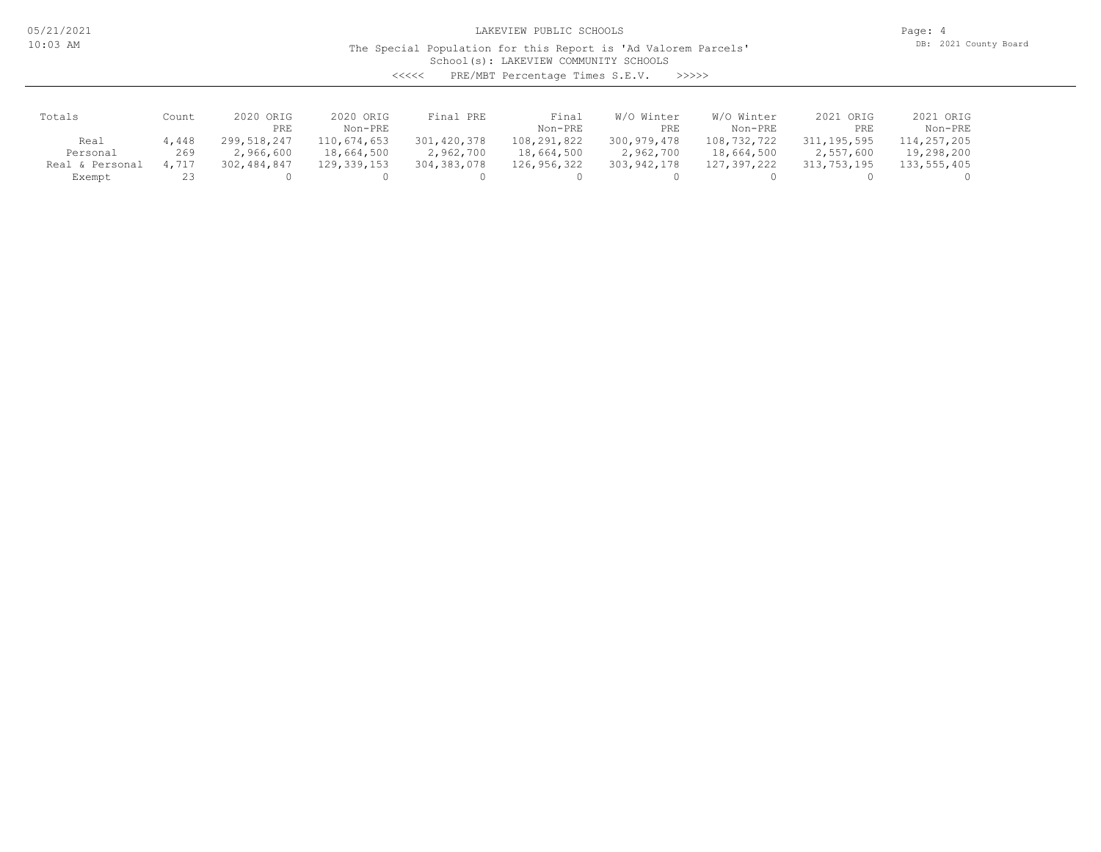Page: 4 DB: 2021 County Board

## School(s): LAKEVIEW COMMUNITY SCHOOLS The Special Population for this Report is 'Ad Valorem Parcels'

<<<<< PRE/MBT Percentage Times S.E.V. >>>>>

| Totals          | Count | 2020 ORIG<br>PRE | 2020 ORIG<br>Non-PRE | Final PRE     | Final<br>Non-PRE | W/O Winter<br>PRE | W/O Winter<br>Non-PRE | 2021 ORIG<br>PRE | 2021 ORIG<br>Non-PRE |
|-----------------|-------|------------------|----------------------|---------------|------------------|-------------------|-----------------------|------------------|----------------------|
| Real            | 4,448 | 299,518,247      | 110,674,653          | 301,420,378   | 108,291,822      | 300,979,478       | 108,732,722           | 311,195,595      | 114,257,205          |
| Personal        | 269   | 2,966,600        | 18,664,500           | 2,962,700     | 18,664,500       | 2,962,700         | 18,664,500            | 2,557,600        | 19,298,200           |
| Real & Personal | 4,717 | 302,484,847      | 129,339,153          | 304, 383, 078 | 126,956,322      | 303,942,178       | 127,397,222           | 313,753,195      | 133,555,405          |
| Exempt          |       |                  |                      |               |                  |                   |                       |                  |                      |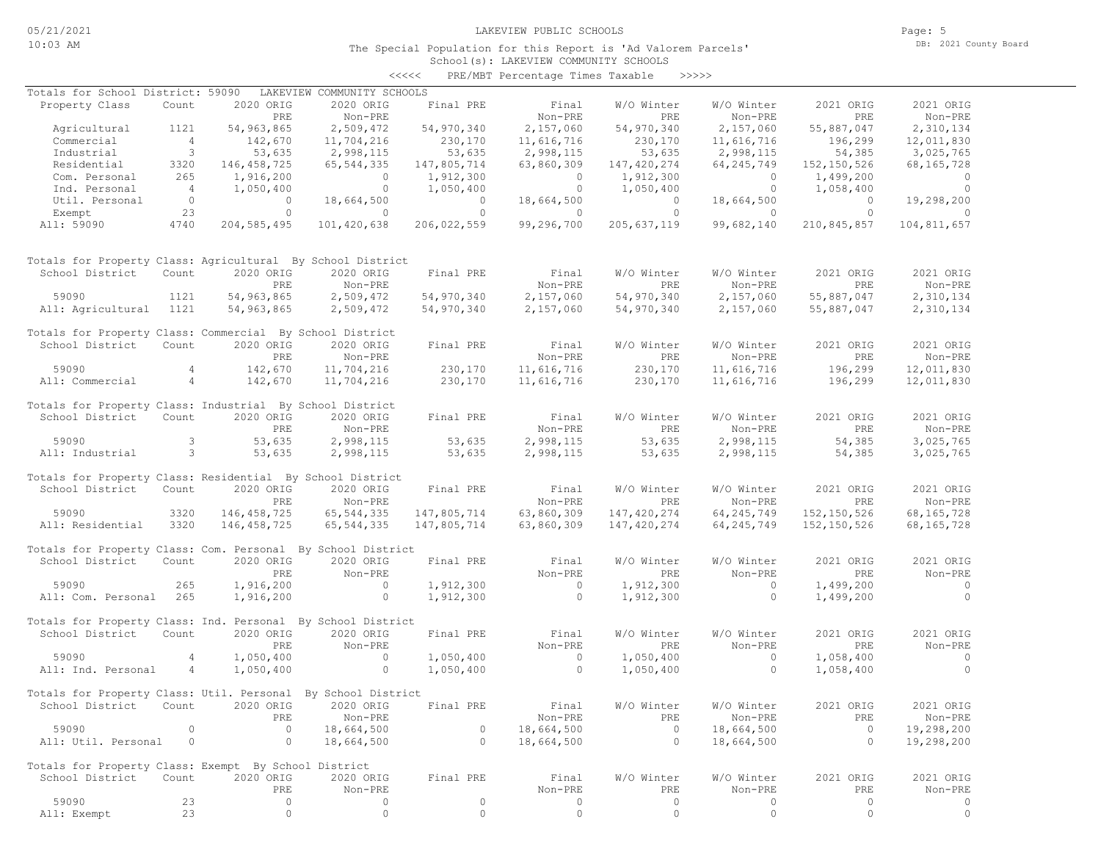## School(s): LAKEVIEW COMMUNITY SCHOOLS <<<<< PRE/MBT Percentage Times Taxable >>>>>

| Totals for School District: 59090                            |                          |               | LAKEVIEW COMMUNITY SCHOOLS          |                |                |                |                |                |                |
|--------------------------------------------------------------|--------------------------|---------------|-------------------------------------|----------------|----------------|----------------|----------------|----------------|----------------|
| Property Class                                               | Count                    | 2020 ORIG     | 2020 ORIG                           | Final PRE      | Final          | W/O Winter     | W/O Winter     | 2021 ORIG      | 2021 ORIG      |
|                                                              |                          | PRE           | Non-PRE                             |                | Non-PRE        | PRE            | Non-PRE        | PRE            | Non-PRE        |
| Agricultural                                                 | 1121                     | 54,963,865    | 2,509,472                           | 54,970,340     | 2,157,060      | 54,970,340     | 2,157,060      | 55,887,047     | 2,310,134      |
| Commercial                                                   | $\overline{4}$           | 142,670       | 11,704,216                          | 230,170        | 11,616,716     | 230,170        | 11,616,716     | 196,299        | 12,011,830     |
| Industrial                                                   | $\overline{\phantom{a}}$ | 53,635        | 2,998,115                           | 53,635         | 2,998,115      | 53,635         | 2,998,115      | 54,385         | 3,025,765      |
| Residential                                                  | 3320                     | 146, 458, 725 | 65, 544, 335                        | 147,805,714    | 63,860,309     | 147,420,274    | 64, 245, 749   | 152,150,526    | 68, 165, 728   |
| Com. Personal                                                | 265                      | 1,916,200     | $\overline{0}$                      | 1,912,300      | $\overline{0}$ | 1,912,300      | $\sim$ 0       | 1,499,200      | $\sim$ 0       |
| Ind. Personal                                                | $\overline{4}$           | 1,050,400     | $\overline{0}$                      | 1,050,400      | $\overline{0}$ | 1,050,400      | $\overline{0}$ | 1,058,400      | $\overline{0}$ |
| Util. Personal                                               | $\overline{0}$           | $\circ$       | 18,664,500                          | $\overline{0}$ | 18,664,500     | $\overline{0}$ | 18,664,500     | $\bigcirc$     | 19,298,200     |
|                                                              | 23                       | $\circ$       |                                     | $\circ$        |                | $\overline{0}$ |                | $\overline{0}$ | $\Omega$       |
| Exempt                                                       |                          |               | $\circ$                             |                | $\circ$        |                | $\overline{0}$ |                |                |
| All: 59090                                                   | 4740                     | 204, 585, 495 | 101,420,638                         | 206,022,559    | 99,296,700     | 205,637,119    | 99,682,140     | 210,845,857    | 104,811,657    |
| Totals for Property Class: Agricultural By School District   |                          |               |                                     |                |                |                |                |                |                |
| School District                                              | Count                    | 2020 ORIG     | 2020 ORIG                           | Final PRE      | Final          | W/O Winter     | W/O Winter     | 2021 ORIG      | 2021 ORIG      |
|                                                              |                          | PRE           | Non-PRE                             |                | Non-PRE        | PRE            | Non-PRE        | PRE            | Non-PRE        |
| 59090                                                        | 1121                     | 54,963,865    | 2,509,472                           | 54,970,340     | 2,157,060      | 54,970,340     | 2,157,060      | 55,887,047     | 2,310,134      |
| All: Agricultural 1121                                       |                          | 54,963,865    | 2,509,472                           | 54,970,340     | 2,157,060      | 54,970,340     | 2,157,060      | 55,887,047     | 2,310,134      |
|                                                              |                          |               |                                     |                |                |                |                |                |                |
| Totals for Property Class: Commercial By School District     |                          |               |                                     |                |                |                |                |                |                |
| School District                                              | Count                    | 2020 ORIG     | 2020 ORIG                           | Final PRE      | Final          | W/O Winter     | W/O Winter     | 2021 ORIG      | 2021 ORIG      |
|                                                              |                          | PRE           | Non-PRE                             |                | Non-PRE        | PRE            | Non-PRE        | PRE            | Non-PRE        |
| 59090                                                        | 4                        | 142,670       | 11,704,216                          | 230,170        | 11,616,716     | 230,170        | 11,616,716     | 196,299        | 12,011,830     |
| All: Commercial                                              | $4\overline{4}$          | 142,670       | 11,704,216                          | 230,170        | 11,616,716     | 230,170        | 11,616,716     | 196,299        | 12,011,830     |
|                                                              |                          |               |                                     |                |                |                |                |                |                |
| Totals for Property Class: Industrial By School District     |                          |               |                                     |                |                |                |                |                |                |
| School District                                              | Count                    | 2020 ORIG     | 2020 ORIG                           | Final PRE      | Final          | W/O Winter     | W/O Winter     | 2021 ORIG      | 2021 ORIG      |
|                                                              |                          | PRE           | Non-PRE                             |                | Non-PRE        | PRE            | Non-PRE        | PRE            | Non-PRE        |
| 59090                                                        | 3                        | 53,635        | 2,998,115                           | 53,635         | 2,998,115      | 53,635         | 2,998,115      | 54,385         | 3,025,765      |
| All: Industrial                                              | $\overline{\mathbf{3}}$  | 53,635        | 2,998,115                           | 53,635         | 2,998,115      | 53,635         | 2,998,115      | 54,385         | 3,025,765      |
|                                                              |                          |               |                                     |                |                |                |                |                |                |
| Totals for Property Class: Residential By School District    |                          |               |                                     |                |                |                |                |                |                |
| School District                                              | Count                    | 2020 ORIG     | 2020 ORIG                           | Final PRE      | Final          | W/O Winter     | W/O Winter     | 2021 ORIG      | 2021 ORIG      |
|                                                              |                          | PRE           | Non-PRE                             |                | Non-PRE        | PRE            | Non-PRE        | PRE            | Non-PRE        |
| 59090                                                        | 3320                     | 146, 458, 725 | 65, 544, 335                        | 147,805,714    | 63,860,309     | 147,420,274    | 64, 245, 749   | 152, 150, 526  | 68, 165, 728   |
| All: Residential                                             | 3320                     | 146,458,725   | 65, 544, 335                        | 147,805,714    | 63,860,309     | 147,420,274    | 64, 245, 749   | 152, 150, 526  | 68, 165, 728   |
|                                                              |                          |               |                                     |                |                |                |                |                |                |
| Totals for Property Class: Com. Personal By School District  |                          |               |                                     |                |                |                |                |                |                |
| School District                                              | Count                    | 2020 ORIG     | 2020 ORIG                           | Final PRE      | Final          | W/O Winter     | W/O Winter     | 2021 ORIG      | 2021 ORIG      |
|                                                              |                          | PRE           | Non-PRE                             |                | Non-PRE        | PRE            | Non-PRE        | PRE            | Non-PRE        |
| 59090                                                        | 265                      | 1,916,200     | $\overline{0}$                      | 1,912,300      | $\sim$ 0       | 1,912,300      | $\sim$ 0       | 1,499,200      | $\sim$ 0       |
|                                                              |                          |               |                                     |                |                |                |                |                |                |
| All: Com. Personal 265                                       |                          | 1,916,200     | $\overline{0}$                      | 1,912,300      | $\overline{0}$ | 1,912,300      | $\circ$        | 1,499,200      | $\overline{0}$ |
| Totals for Property Class: Ind. Personal By School District  |                          |               |                                     |                |                |                |                |                |                |
| School District                                              | Count                    | 2020 ORIG     | 2020 ORIG                           | Final PRE      | Final          | W/O Winter     | W/O Winter     | 2021 ORIG      | 2021 ORIG      |
|                                                              |                          |               |                                     |                |                |                |                |                |                |
|                                                              |                          | PRE           | Non-PRE                             |                | Non-PRE        | PRE            | Non-PRE        | PRE            | Non-PRE        |
| 59090                                                        | $\overline{4}$           | 1,050,400     | $\overline{0}$                      | 1,050,400      | $\overline{0}$ | 1,050,400      | $\overline{0}$ | 1,058,400      | $\sim$ 0       |
| All: Ind. Personal                                           | $\overline{4}$           | 1,050,400     | $\overline{0}$                      | 1,050,400      | $\overline{0}$ | 1,050,400      | $\circ$        | 1,058,400      | $\overline{0}$ |
|                                                              |                          |               |                                     |                |                |                |                |                |                |
| Totals for Property Class: Util. Personal By School District |                          |               |                                     |                |                |                |                |                |                |
| School District                                              |                          |               | Count 2020 ORIG 2020 ORIG Final PRE |                | Final          | W/O Winter     | W/O Winter     | 2021 ORIG      | 2021 ORIG      |
|                                                              |                          | PRE           | Non-PRE                             |                | Non-PRE        | PRE            | Non-PRE        | PRE            | Non-PRE        |
| 59090                                                        | $\circ$                  | $\circ$       | 18,664,500                          | $\circ$        | 18,664,500     | $\mathbf{0}$   | 18,664,500     | $\circ$        | 19,298,200     |
| All: Util. Personal                                          | 0                        | 0             | 18,664,500                          | $\circ$        | 18,664,500     | $\circ$        | 18,664,500     | $\circ$        | 19,298,200     |
|                                                              |                          |               |                                     |                |                |                |                |                |                |
| Totals for Property Class: Exempt By School District         |                          |               |                                     |                |                |                |                |                |                |
| School District                                              | Count                    | 2020 ORIG     | 2020 ORIG                           | Final PRE      | Final          | W/O Winter     | W/O Winter     | 2021 ORIG      | 2021 ORIG      |
|                                                              |                          | PRE           | Non-PRE                             |                | Non-PRE        | PRE            | Non-PRE        | PRE            | Non-PRE        |
| 59090                                                        | 23                       | 0             | 0                                   | $\circ$        | 0              | 0              | 0              | $\circ$        | 0              |
| All: Exempt                                                  | 23                       | $\circ$       | $\circ$                             | $\circ$        | $\circ$        | $\circ$        | $\circ$        | $\circ$        | $\circ$        |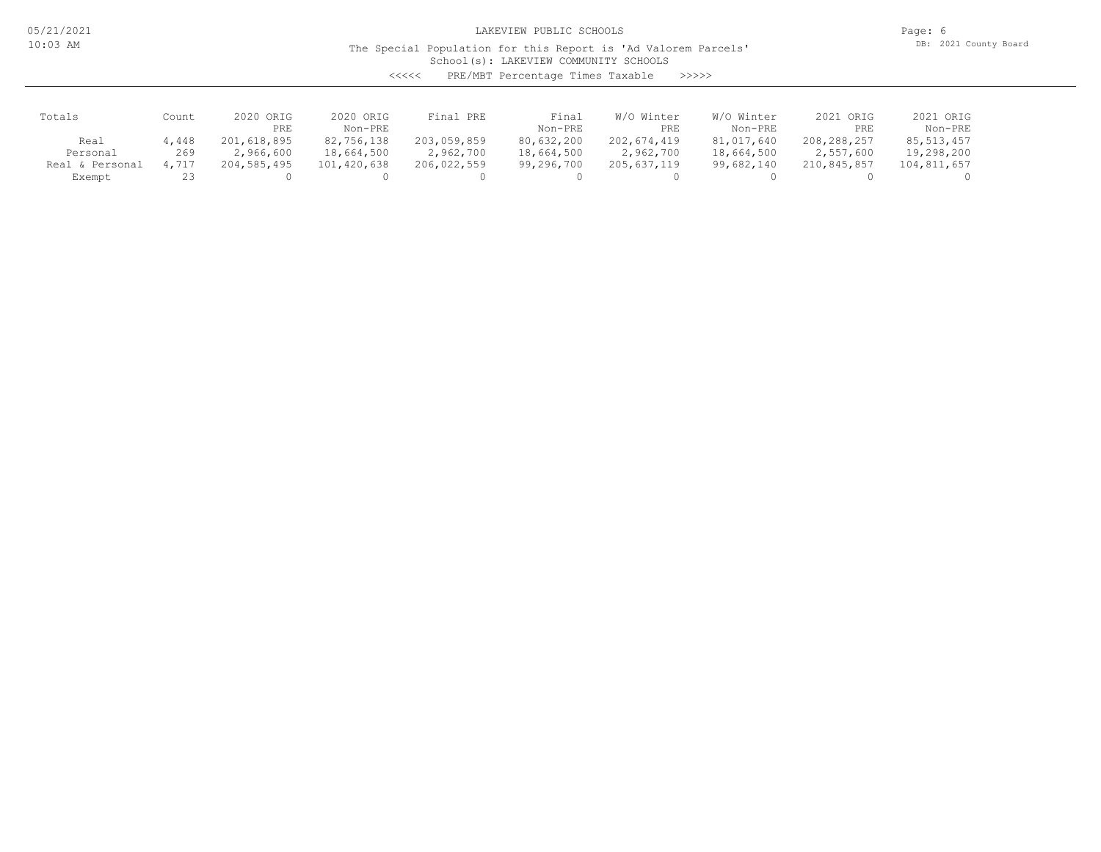05/21/2021 10:03 AM

LAKEVIEW PUBLIC SCHOOLS

Page: 6 DB: 2021 County Board

# School(s): LAKEVIEW COMMUNITY SCHOOLS The Special Population for this Report is 'Ad Valorem Parcels'

<<<<< PRE/MBT Percentage Times Taxable >>>>>

| Totals          | Count | ORIG<br>2020<br>PRE | 2020 ORIG<br>Non-PRE | Final PRE   | Final<br>Non-PRE | Winter<br>W/O<br>PRE | W/O Winter<br>Non-PRE | 2021 ORIG<br>PRE | 2021 ORIG<br>Non-PRE |
|-----------------|-------|---------------------|----------------------|-------------|------------------|----------------------|-----------------------|------------------|----------------------|
| Real            | 4,448 | 201,618,895         | 82,756,138           | 203,059,859 | 80,632,200       | 202,674,419          | 81,017,640            | 208,288,257      | 85, 513, 457         |
| Personal        | 269   | 2,966,600           | 18,664,500           | 2,962,700   | 18,664,500       | 2,962,700            | 18,664,500            | 2,557,600        | 19,298,200           |
| Real & Personal | 4.717 | 204,585,495         | 101,420,638          | 206,022,559 | 99,296,700       | 205,637,119          | 99,682,140            | 210,845,857      | 104,811,657          |
| Exempt          |       |                     |                      |             |                  |                      |                       |                  |                      |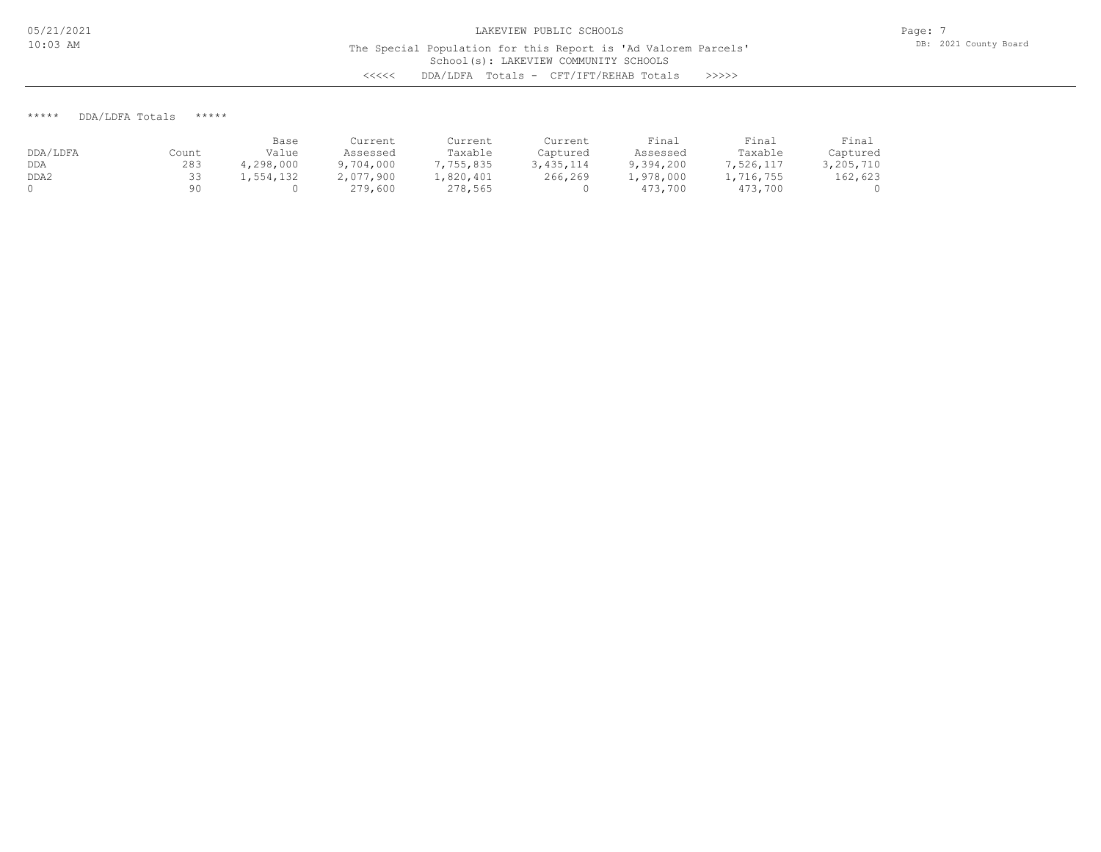The Special Population for this Report is 'Ad Valorem Parcels'

School(s): LAKEVIEW COMMUNITY SCHOOLS <<<<< DDA/LDFA Totals - CFT/IFT/REHAB Totals >>>>>

\*\*\*\*\* DDA/LDFA Totals \*\*\*\*\*

|          |       | Base      | Current   | Current   | Current     | Final     | Final     | Final     |
|----------|-------|-----------|-----------|-----------|-------------|-----------|-----------|-----------|
| DDA/LDFA | Count | Value     | Assessed  | Taxable   | Captured    | Assessed  | Taxable   | Captured  |
| DDA      | 283   | 4,298,000 | 9,704,000 | 7,755,835 | 3, 435, 114 | 9,394,200 | 7,526,117 | 3,205,710 |
| DDA2     |       | 1,554,132 | 2,077,900 | .,820,401 | 266,269     | 1,978,000 | 1,716,755 | 162,623   |
|          | 90    |           | 279,600   | 278,565   |             | 473,700   | 473,700   |           |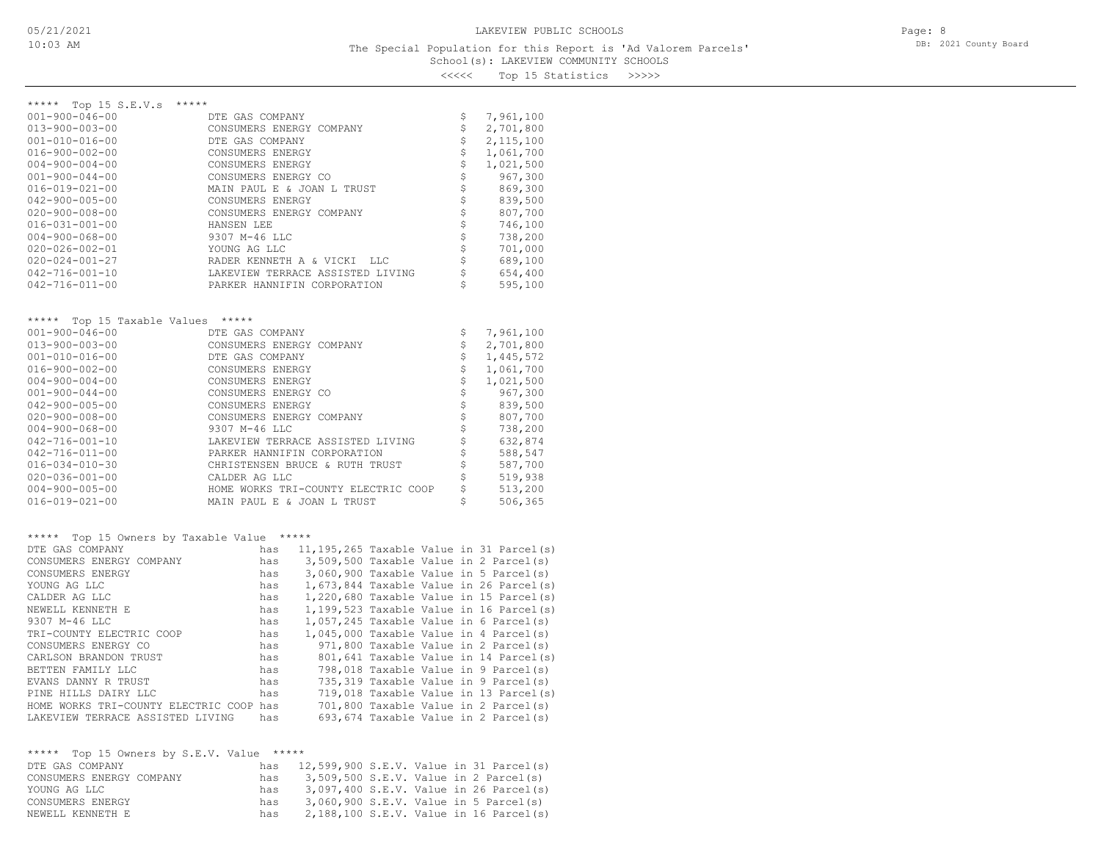<<<<< Top 15 Statistics >>>>>

| ***** Top 15 S.E.V.s<br>*****                           |                                     |                                       |                |                                              |
|---------------------------------------------------------|-------------------------------------|---------------------------------------|----------------|----------------------------------------------|
| $001 - 900 - 046 - 00$                                  | DTE GAS COMPANY                     |                                       | \$             | 7,961,100                                    |
| $013 - 900 - 003 - 00$                                  | CONSUMERS ENERGY COMPANY            |                                       | \$             | 2,701,800                                    |
| $001 - 010 - 016 - 00$                                  | DTE GAS COMPANY                     |                                       | \$             | 2, 115, 100                                  |
| $016 - 900 - 002 - 00$                                  | CONSUMERS ENERGY                    |                                       | \$             | 1,061,700                                    |
| $004 - 900 - 004 - 00$                                  | CONSUMERS ENERGY                    |                                       | \$             | 1,021,500                                    |
| $001 - 900 - 044 - 00$                                  | CONSUMERS ENERGY CO                 |                                       | \$             | 967,300                                      |
| $016 - 019 - 021 - 00$                                  | MAIN PAUL E & JOAN L TRUST          |                                       | \$             | 869,300                                      |
| $042 - 900 - 005 - 00$                                  | CONSUMERS ENERGY                    |                                       | \$             | 839,500                                      |
| $020 - 900 - 008 - 00$                                  | CONSUMERS ENERGY COMPANY            |                                       | \$             | 807,700                                      |
| $016 - 031 - 001 - 00$                                  | HANSEN LEE                          |                                       | \$             | 746,100                                      |
| $004 - 900 - 068 - 00$                                  | 9307 M-46 LLC                       |                                       | \$             | 738,200                                      |
| $020 - 026 - 002 - 01$                                  | YOUNG AG LLC                        |                                       | \$             | 701,000                                      |
| $020 - 024 - 001 - 27$                                  | RADER KENNETH A & VICKI             | LLC                                   | \$             | 689,100                                      |
| $042 - 716 - 001 - 10$                                  | LAKEVIEW TERRACE ASSISTED LIVING    |                                       | \$             | 654,400                                      |
| $042 - 716 - 011 - 00$                                  | PARKER HANNIFIN CORPORATION         |                                       | \$             | 595,100                                      |
|                                                         |                                     |                                       |                |                                              |
|                                                         | *****                               |                                       |                |                                              |
| ***** Top 15 Taxable Values<br>$001 - 900 - 046 - 00$   | DTE GAS COMPANY                     |                                       | \$             | 7,961,100                                    |
| 013-900-003-00                                          | CONSUMERS ENERGY COMPANY            |                                       | \$             | 2,701,800                                    |
| $001 - 010 - 016 - 00$                                  |                                     |                                       | \$             | 1,445,572                                    |
| $016 - 900 - 002 - 00$                                  | DTE GAS COMPANY<br>CONSUMERS ENERGY |                                       | \$             | 1,061,700                                    |
| $004 - 900 - 004 - 00$                                  | CONSUMERS ENERGY                    |                                       | \$             | 1,021,500                                    |
| $001 - 900 - 044 - 00$                                  | CONSUMERS ENERGY CO                 |                                       | \$             | 967,300                                      |
| $042 - 900 - 005 - 00$                                  | CONSUMERS ENERGY                    |                                       | $\updownarrow$ | 839,500                                      |
| $020 - 900 - 008 - 00$                                  | CONSUMERS ENERGY COMPANY            |                                       | \$             | 807,700                                      |
| $004 - 900 - 068 - 00$                                  | 9307 M-46 LLC                       |                                       | \$             | 738,200                                      |
| $042 - 716 - 001 - 10$                                  | LAKEVIEW TERRACE ASSISTED LIVING    |                                       | \$             | 632,874                                      |
| $042 - 716 - 011 - 00$                                  | PARKER HANNIFIN CORPORATION         |                                       | \$             | 588,547                                      |
| 016-034-010-30                                          | CHRISTENSEN BRUCE & RUTH TRUST      |                                       | \$             | 587,700                                      |
| $020 - 036 - 001 - 00$                                  | CALDER AG LLC                       |                                       | \$             | 519,938                                      |
| $004 - 900 - 005 - 00$                                  | HOME WORKS TRI-COUNTY ELECTRIC COOP |                                       | \$             | 513,200                                      |
| 016-019-021-00                                          | MAIN PAUL E & JOAN L TRUST          |                                       | \$             | 506,365                                      |
|                                                         |                                     |                                       |                |                                              |
| *****                                                   |                                     |                                       |                |                                              |
| Top 15 Owners by Taxable Value *****<br>DTE GAS COMPANY | has                                 |                                       |                | $11, 195, 265$ Taxable Value in 31 Parcel(s) |
| CONSUMERS ENERGY COMPANY                                | has                                 |                                       |                | 3,509,500 Taxable Value in 2 Parcel(s)       |
| CONSUMERS ENERGY                                        | has                                 |                                       |                | 3,060,900 Taxable Value in 5 Parcel(s)       |
| YOUNG AG LLC                                            | has                                 |                                       |                | $1,673,844$ Taxable Value in 26 Parcel(s)    |
| CALDER AG LLC                                           | has                                 |                                       |                | $1,220,680$ Taxable Value in 15 Parcel(s)    |
| NEWELL KENNETH E                                        | has                                 |                                       |                | $1,199,523$ Taxable Value in 16 Parcel(s)    |
| 9307 M-46 LLC                                           | has                                 |                                       |                | $1,057,245$ Taxable Value in 6 Parcel(s)     |
| TRI-COUNTY ELECTRIC COOP                                | has                                 |                                       |                | 1,045,000 Taxable Value in 4 Parcel(s)       |
| CONSUMERS ENERGY CO                                     | has                                 |                                       |                | 971,800 Taxable Value in 2 Parcel(s)         |
| CARLSON BRANDON TRUST                                   | has                                 |                                       |                | 801,641 Taxable Value in 14 Parcel(s)        |
| BETTEN FAMILY LLC                                       | has                                 |                                       |                | 798,018 Taxable Value in 9 Parcel(s)         |
| EVANS DANNY R TRUST                                     | has                                 |                                       |                | 735,319 Taxable Value in 9 Parcel(s)         |
| PINE HILLS DAIRY LLC                                    | has                                 |                                       |                | 719,018 Taxable Value in 13 Parcel(s)        |
| HOME WORKS TRI-COUNTY ELECTRIC COOP has                 |                                     |                                       |                | 701,800 Taxable Value in 2 Parcel(s)         |
| LAKEVIEW TERRACE ASSISTED LIVING                        | has                                 |                                       |                | 693,674 Taxable Value in 2 Parcel(s)         |
|                                                         |                                     |                                       |                |                                              |
| ***** Top 15 Owners by S.E.V. Value *****               |                                     |                                       |                |                                              |
| DTE GAS COMPANY                                         | has                                 |                                       |                | 12,599,900 S.E.V. Value in 31 Parcel(s)      |
| CONSUMERS ENERGY COMPANY                                | has                                 | 3,509,500 S.E.V. Value in 2 Parcel(s) |                |                                              |
| YOUNG AG LLC                                            | has                                 |                                       |                | 3,097,400 S.E.V. Value in 26 Parcel(s)       |
| CONSUMERS ENERGY                                        | has                                 | 3,060,900 S.E.V. Value in 5 Parcel(s) |                |                                              |

NEWELL KENNETH E has 2,188,100 S.E.V. Value in 16 Parcel(s)